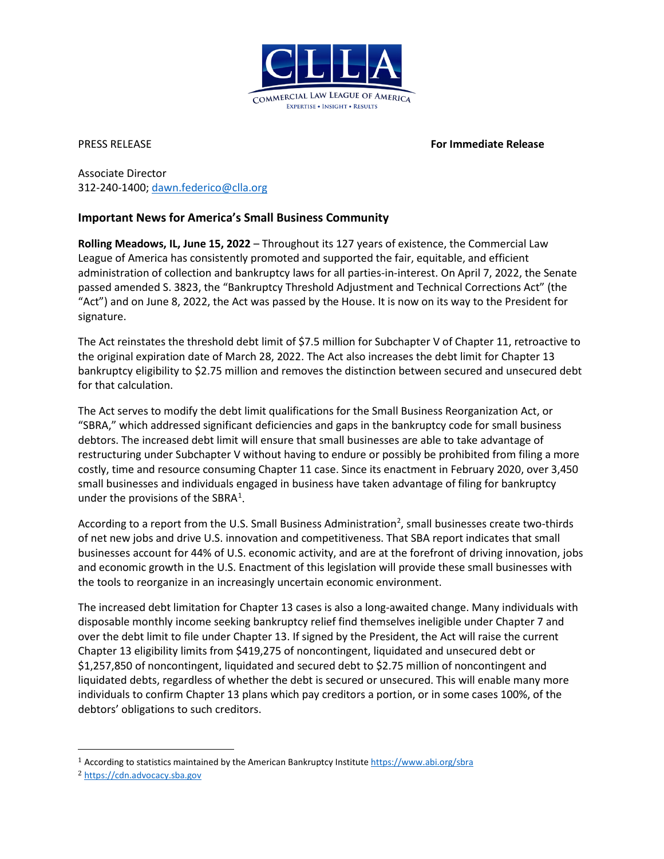

PRESS RELEASE **For Immediate Release**

Associate Director 312-240-1400; [dawn.federico@clla.org](mailto:dawn.federico@clla.org)

## **Important News for America's Small Business Community**

**Rolling Meadows, IL, June 15, 2022** – Throughout its 127 years of existence, the Commercial Law League of America has consistently promoted and supported the fair, equitable, and efficient administration of collection and bankruptcy laws for all parties-in-interest. On April 7, 2022, the Senate passed amended S. 3823, the "Bankruptcy Threshold Adjustment and Technical Corrections Act" (the "Act") and on June 8, 2022, the Act was passed by the House. It is now on its way to the President for signature.

The Act reinstates the threshold debt limit of \$7.5 million for Subchapter V of Chapter 11, retroactive to the original expiration date of March 28, 2022. The Act also increases the debt limit for Chapter 13 bankruptcy eligibility to \$2.75 million and removes the distinction between secured and unsecured debt for that calculation.

The Act serves to modify the debt limit qualifications for the Small Business Reorganization Act, or "SBRA," which addressed significant deficiencies and gaps in the bankruptcy code for small business debtors. The increased debt limit will ensure that small businesses are able to take advantage of restructuring under Subchapter V without having to endure or possibly be prohibited from filing a more costly, time and resource consuming Chapter 11 case. Since its enactment in February 2020, over 3,450 small businesses and individuals engaged in business have taken advantage of filing for bankruptcy under the provisions of the SBRA $<sup>1</sup>$  $<sup>1</sup>$  $<sup>1</sup>$ .</sup>

According to a report from the U.S. Small Business Administration<sup>[2](#page-0-1)</sup>, small businesses create two-thirds of net new jobs and drive U.S. innovation and competitiveness. That SBA report indicates that small businesses account for 44% of U.S. economic activity, and are at the forefront of driving innovation, jobs and economic growth in the U.S. Enactment of this legislation will provide these small businesses with the tools to reorganize in an increasingly uncertain economic environment.

The increased debt limitation for Chapter 13 cases is also a long-awaited change. Many individuals with disposable monthly income seeking bankruptcy relief find themselves ineligible under Chapter 7 and over the debt limit to file under Chapter 13. If signed by the President, the Act will raise the current Chapter 13 eligibility limits from \$419,275 of noncontingent, liquidated and unsecured debt or \$1,257,850 of noncontingent, liquidated and secured debt to \$2.75 million of noncontingent and liquidated debts, regardless of whether the debt is secured or unsecured. This will enable many more individuals to confirm Chapter 13 plans which pay creditors a portion, or in some cases 100%, of the debtors' obligations to such creditors.

<span id="page-0-0"></span><sup>&</sup>lt;sup>1</sup> According to statistics maintained by the American Bankruptcy Institut[e https://www.abi.org/sbra](https://www.abi.org/sbra)

<span id="page-0-1"></span><sup>2</sup> [https://cdn.advocacy.sba.gov](https://cdn.advocacy.sba.gov/)